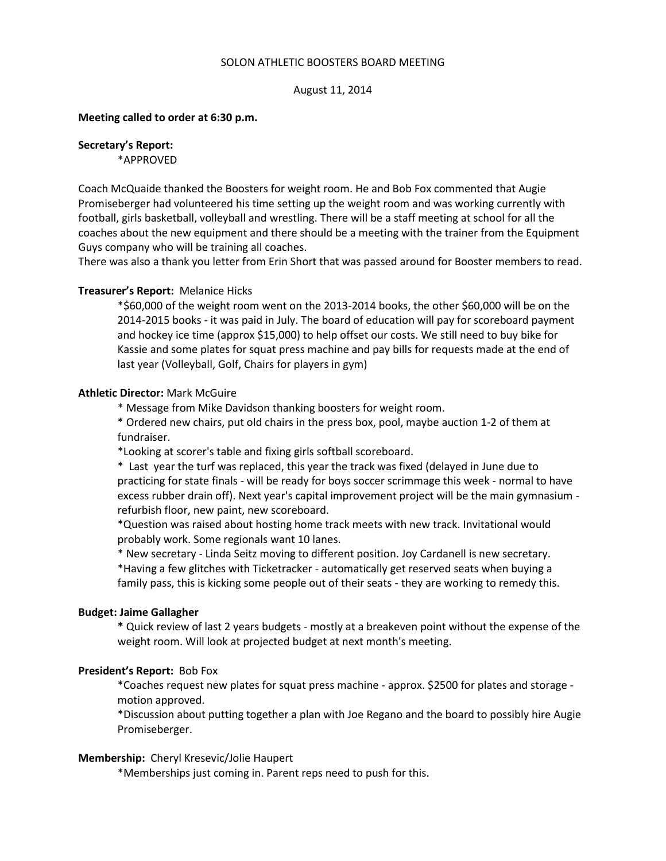### SOLON ATHLETIC BOOSTERS BOARD MEETING

August 11, 2014

### **Meeting called to order at 6:30 p.m.**

#### **Secretary's Report:**

\*APPROVED

Coach McQuaide thanked the Boosters for weight room. He and Bob Fox commented that Augie Promiseberger had volunteered his time setting up the weight room and was working currently with football, girls basketball, volleyball and wrestling. There will be a staff meeting at school for all the coaches about the new equipment and there should be a meeting with the trainer from the Equipment Guys company who will be training all coaches.

There was also a thank you letter from Erin Short that was passed around for Booster members to read.

### **Treasurer's Report:** Melanice Hicks

\*\$60,000 of the weight room went on the 2013-2014 books, the other \$60,000 will be on the 2014-2015 books - it was paid in July. The board of education will pay for scoreboard payment and hockey ice time (approx \$15,000) to help offset our costs. We still need to buy bike for Kassie and some plates for squat press machine and pay bills for requests made at the end of last year (Volleyball, Golf, Chairs for players in gym)

### **Athletic Director:** Mark McGuire

\* Message from Mike Davidson thanking boosters for weight room.

\* Ordered new chairs, put old chairs in the press box, pool, maybe auction 1-2 of them at fundraiser.

\*Looking at scorer's table and fixing girls softball scoreboard.

\* Last year the turf was replaced, this year the track was fixed (delayed in June due to practicing for state finals - will be ready for boys soccer scrimmage this week - normal to have excess rubber drain off). Next year's capital improvement project will be the main gymnasium refurbish floor, new paint, new scoreboard.

\*Question was raised about hosting home track meets with new track. Invitational would probably work. Some regionals want 10 lanes.

\* New secretary - Linda Seitz moving to different position. Joy Cardanell is new secretary. \*Having a few glitches with Ticketracker - automatically get reserved seats when buying a family pass, this is kicking some people out of their seats - they are working to remedy this.

## **Budget: Jaime Gallagher**

**\*** Quick review of last 2 years budgets - mostly at a breakeven point without the expense of the weight room. Will look at projected budget at next month's meeting.

## **President's Report:** Bob Fox

\*Coaches request new plates for squat press machine - approx. \$2500 for plates and storage motion approved.

\*Discussion about putting together a plan with Joe Regano and the board to possibly hire Augie Promiseberger.

## **Membership:** Cheryl Kresevic/Jolie Haupert

\*Memberships just coming in. Parent reps need to push for this.